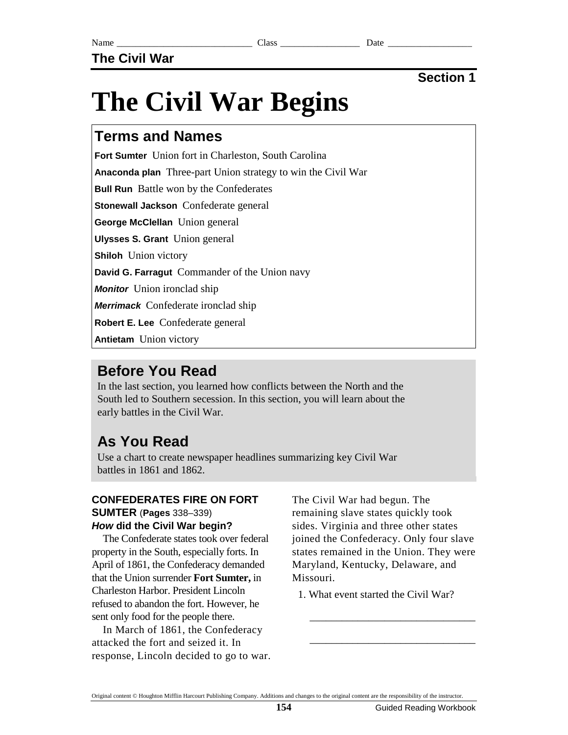# **The Civil War Begins**

## **Terms and Names**

**Fort Sumter** Union fort in Charleston, South Carolina

**Anaconda plan** Three-part Union strategy to win the Civil War

**Bull Run** Battle won by the Confederates

**Stonewall Jackson** Confederate general

**George McClellan** Union general

**Ulysses S. Grant** Union general

**Shiloh** Union victory

**David G. Farragut** Commander of the Union navy

**Monitor** Union ironclad ship

**Merrimack** Confederate ironclad ship

**Robert E. Lee** Confederate general

**Antietam** Union victory

# **Before You Read**

In the last section, you learned how conflicts between the North and the South led to Southern secession. In this section, you will learn about the early battles in the Civil War.

# **As You Read**

Use a chart to create newspaper headlines summarizing key Civil War battles in 1861 and 1862.

#### **CONFEDERATES FIRE ON FORT SUMTER** (**Pages** 338–339) **How did the Civil War begin?**

The Confederate states took over federal property in the South, especially forts. In April of 1861, the Confederacy demanded that the Union surrender **Fort Sumter,** in Charleston Harbor. President Lincoln refused to abandon the fort. However, he sent only food for the people there.

In March of 1861, the Confederacy attacked the fort and seized it. In response, Lincoln decided to go to war. The Civil War had begun. The remaining slave states quickly took sides. Virginia and three other states joined the Confederacy. Only four slave states remained in the Union. They were Maryland, Kentucky, Delaware, and Missouri.

1. What event started the Civil War?

\_\_\_\_\_\_\_\_\_\_\_\_\_\_\_\_\_\_\_\_\_\_\_\_\_\_\_\_\_\_\_

\_\_\_\_\_\_\_\_\_\_\_\_\_\_\_\_\_\_\_\_\_\_\_\_\_\_\_\_\_\_\_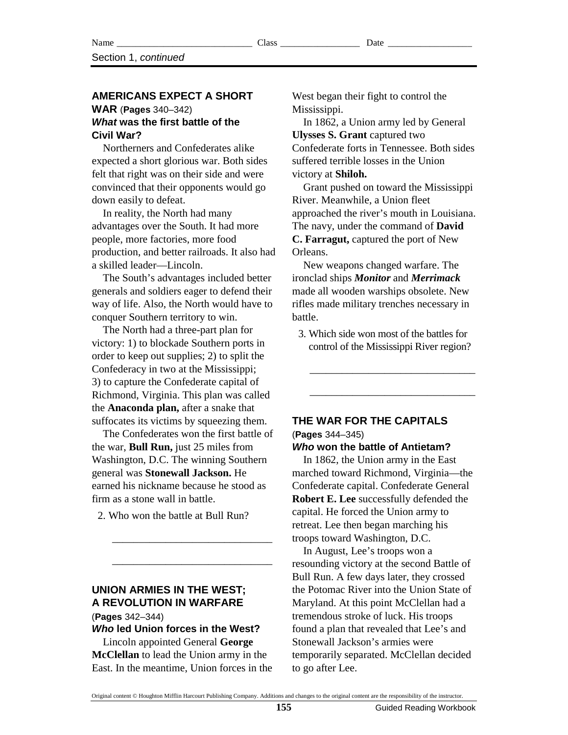#### **AMERICANS EXPECT A SHORT**

#### **WAR** (**Pages** 340–342) **What was the first battle of the Civil War?**

Northerners and Confederates alike expected a short glorious war. Both sides felt that right was on their side and were convinced that their opponents would go down easily to defeat.

In reality, the North had many advantages over the South. It had more people, more factories, more food production, and better railroads. It also had a skilled leader—Lincoln.

The South's advantages included better generals and soldiers eager to defend their way of life. Also, the North would have to conquer Southern territory to win.

The North had a three-part plan for victory: 1) to blockade Southern ports in order to keep out supplies; 2) to split the Confederacy in two at the Mississippi; 3) to capture the Confederate capital of Richmond, Virginia. This plan was called the **Anaconda plan,** after a snake that suffocates its victims by squeezing them.

The Confederates won the first battle of the war, **Bull Run,** just 25 miles from Washington, D.C. The winning Southern general was **Stonewall Jackson.** He earned his nickname because he stood as firm as a stone wall in battle.

2. Who won the battle at Bull Run?

\_\_\_\_\_\_\_\_\_\_\_\_\_\_\_\_\_\_\_\_\_\_\_\_\_\_\_\_\_\_

\_\_\_\_\_\_\_\_\_\_\_\_\_\_\_\_\_\_\_\_\_\_\_\_\_\_\_\_\_\_

**UNION ARMIES IN THE WEST; A REVOLUTION IN WARFARE** 

(**Pages** 342–344)

**Who led Union forces in the West?** 

Lincoln appointed General **George McClellan** to lead the Union army in the East. In the meantime, Union forces in the West began their fight to control the Mississippi.

In 1862, a Union army led by General **Ulysses S. Grant** captured two Confederate forts in Tennessee. Both sides suffered terrible losses in the Union victory at **Shiloh.**

Grant pushed on toward the Mississippi River. Meanwhile, a Union fleet approached the river's mouth in Louisiana. The navy, under the command of **David C. Farragut,** captured the port of New Orleans.

New weapons changed warfare. The ironclad ships *Monitor* and *Merrimack* made all wooden warships obsolete. New rifles made military trenches necessary in battle.

 3. Which side won most of the battles for control of the Mississippi River region?

\_\_\_\_\_\_\_\_\_\_\_\_\_\_\_\_\_\_\_\_\_\_\_\_\_\_\_\_\_\_\_

\_\_\_\_\_\_\_\_\_\_\_\_\_\_\_\_\_\_\_\_\_\_\_\_\_\_\_\_\_\_\_

### **THE WAR FOR THE CAPITALS**  (**Pages** 344–345)

#### **Who won the battle of Antietam?**

In 1862, the Union army in the East marched toward Richmond, Virginia—the Confederate capital. Confederate General **Robert E. Lee** successfully defended the capital. He forced the Union army to retreat. Lee then began marching his troops toward Washington, D.C.

In August, Lee's troops won a resounding victory at the second Battle of Bull Run. A few days later, they crossed the Potomac River into the Union State of Maryland. At this point McClellan had a tremendous stroke of luck. His troops found a plan that revealed that Lee's and Stonewall Jackson's armies were temporarily separated. McClellan decided to go after Lee.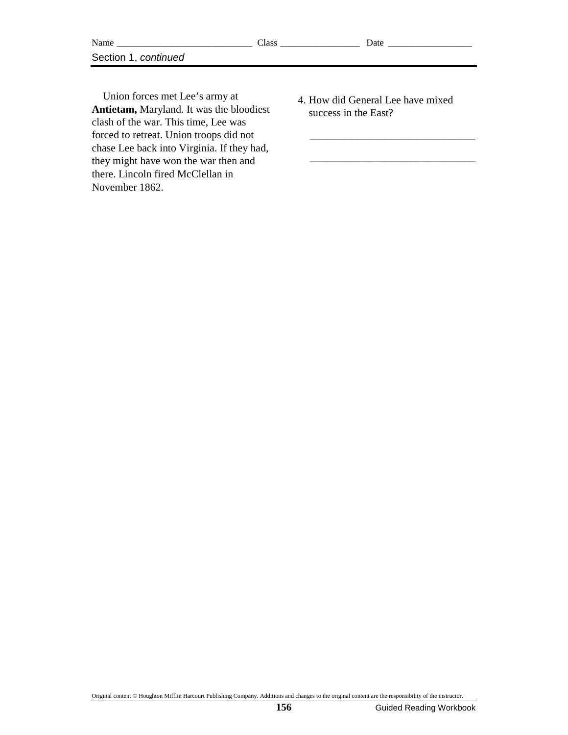| NL<br>√ame<br>__     | Class<br>____________<br>_________ | Jate<br>_____________________ |
|----------------------|------------------------------------|-------------------------------|
| Section<br>continued |                                    |                               |

Union forces met Lee's army at **Antietam,** Maryland. It was the bloodiest clash of the war. This time, Lee was forced to retreat. Union troops did not chase Lee back into Virginia. If they had, they might have won the war then and there. Lincoln fired McClellan in November 1862.

 4. How did General Lee have mixed success in the East?

\_\_\_\_\_\_\_\_\_\_\_\_\_\_\_\_\_\_\_\_\_\_\_\_\_\_\_\_\_\_\_

\_\_\_\_\_\_\_\_\_\_\_\_\_\_\_\_\_\_\_\_\_\_\_\_\_\_\_\_\_\_\_

Original content © Houghton Mifflin Harcourt Publishing Company. Additions and changes to the original content are the responsibility of the instructor.